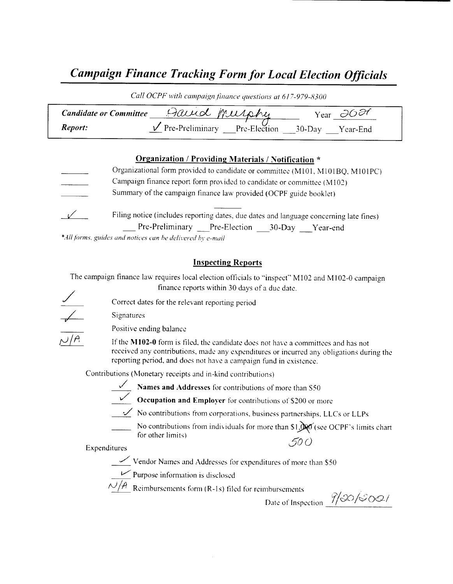# Campaign Finance Tracking Form for Local Election Officials

|                               | Call OCPF with campaign finance questions at 617-979-8300 |                                |  |
|-------------------------------|-----------------------------------------------------------|--------------------------------|--|
| <b>Candidate or Committee</b> | David musphy                                              | Year $\partial O$ $\partial T$ |  |
| <i>Report:</i>                | $\sqrt{P}$ Pre-Preliminary Pre-Election 30-Day Year-End   |                                |  |

#### Organization / Providing Materials / Notification \*

Organizational form provided to candidate or committee (M101, M101BQ, M101PC) Campaign finance report form pro\ ided to candidate or committee ( M102) Summary of the campaign finance law provided (OCPF guide booklet)  $\sqrt{2}$ Filing notice (includes reporting dates, due dates and language concerning late fines) Pre-Preliminary Pre-Election 30-Day Year-end

\*All forms, guides and notices can be delivered by e-mail

#### Inspecting Reports

The campaign finance law requires local election officials to "inspect" M102 and M102-0 campaign finance reports within 30 days of <sup>a</sup> due date.



Correct dates for the relevant reporting period

Positive ending balance

Signatures

If the M102-0 form is filed, the candidate does not have a committees and has not received any contributions, made any expenditures or incurred any obligations during the reporting period, and does not have a campaign fund in existence.

Contributions ( Monetary receipts and in- kind contributions)



 $\frac{1}{2}$  Names and Addresses for contributions of more than S50



 $\sigma$  Occupation and Employer for contributions of \$200 or more

 $\overline{\mathcal{L}}$  No contributions from corporations, business partnerships, LLCs or LLPs

No contributions from individuals for more than  $$1,$  $$$  $$$  $$$  $$$  $($ see OCPF's limits chart for other limits) 500

Expenditures

 $\sim$  Vendor Names and Addresses for expenditures of more than \$50



Purpose information is disclosed

 $\sqrt{4}$  Reimbursements form (R-1s) filed for reimbursements

Date of Inspection  $\frac{\partial}{\partial \theta}$  (single )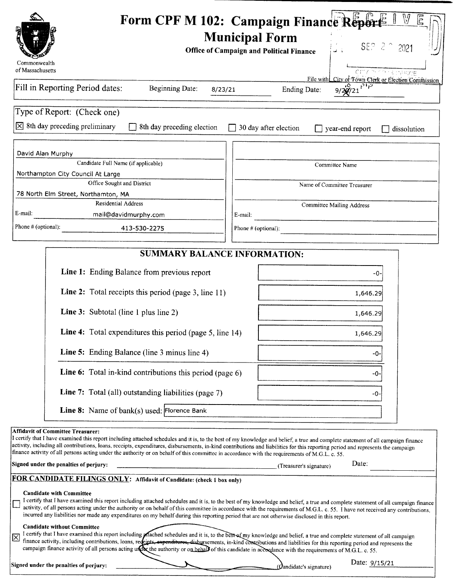|                                                   | Form CPF M 102: Campaign Finance Report                                                                                                                                                                                                                                                                                                                                                                                                                                                                                  |         | <b>Municipal Form</b> | <b>Office of Campaign and Political Finance</b> |                                  |                 | SEP 2 2 2021                                        | E |
|---------------------------------------------------|--------------------------------------------------------------------------------------------------------------------------------------------------------------------------------------------------------------------------------------------------------------------------------------------------------------------------------------------------------------------------------------------------------------------------------------------------------------------------------------------------------------------------|---------|-----------------------|-------------------------------------------------|----------------------------------|-----------------|-----------------------------------------------------|---|
| Commonwealth<br>of Massachusetts                  |                                                                                                                                                                                                                                                                                                                                                                                                                                                                                                                          |         |                       |                                                 |                                  |                 | City of sing cargoe                                 |   |
|                                                   | Fill in Reporting Period dates:<br><b>Beginning Date:</b>                                                                                                                                                                                                                                                                                                                                                                                                                                                                | 8/23/21 |                       | Ending Date:                                    |                                  | 9/20/21         | File with City of Town Clerk or Election Commission |   |
| Type of Report: (Check one)                       |                                                                                                                                                                                                                                                                                                                                                                                                                                                                                                                          |         |                       |                                                 |                                  |                 |                                                     |   |
| $\times$ 8th day preceding preliminary            | 8th day preceding election                                                                                                                                                                                                                                                                                                                                                                                                                                                                                               |         |                       | 30 day after election                           |                                  | year-end report | dissolution                                         |   |
| David Alan Murphy                                 |                                                                                                                                                                                                                                                                                                                                                                                                                                                                                                                          |         |                       |                                                 |                                  |                 |                                                     |   |
|                                                   | Candidate Full Name (if applicable)                                                                                                                                                                                                                                                                                                                                                                                                                                                                                      |         |                       |                                                 | Committee Name                   |                 |                                                     |   |
|                                                   | Northampton City Council At Large<br>Office Sought and District                                                                                                                                                                                                                                                                                                                                                                                                                                                          |         |                       |                                                 | Name of Committee Treasurer      |                 |                                                     |   |
|                                                   | 78 North Elm Street, Northamton, MA                                                                                                                                                                                                                                                                                                                                                                                                                                                                                      |         |                       |                                                 |                                  |                 |                                                     |   |
| E-mail:                                           | <b>Residential Address</b><br>mail@davidmurphy.com                                                                                                                                                                                                                                                                                                                                                                                                                                                                       |         | E-mail:               |                                                 | <b>Committee Mailing Address</b> |                 |                                                     |   |
| Phone # (optional):                               | 413-530-2275                                                                                                                                                                                                                                                                                                                                                                                                                                                                                                             |         | Phone # (optional):   |                                                 |                                  |                 |                                                     |   |
|                                                   |                                                                                                                                                                                                                                                                                                                                                                                                                                                                                                                          |         |                       |                                                 |                                  |                 |                                                     |   |
|                                                   | <b>SUMMARY BALANCE INFORMATION:</b>                                                                                                                                                                                                                                                                                                                                                                                                                                                                                      |         |                       |                                                 |                                  |                 |                                                     |   |
|                                                   | <b>Line 1:</b> Ending Balance from previous report                                                                                                                                                                                                                                                                                                                                                                                                                                                                       |         |                       |                                                 |                                  | -0              |                                                     |   |
|                                                   | Line 2: Total receipts this period (page 3, line 11)                                                                                                                                                                                                                                                                                                                                                                                                                                                                     |         |                       |                                                 |                                  | 1,646.29        |                                                     |   |
|                                                   | <b>Line 3:</b> Subtotal (line 1 plus line 2)                                                                                                                                                                                                                                                                                                                                                                                                                                                                             |         |                       |                                                 |                                  | 1,646.29        |                                                     |   |
|                                                   | <b>Line 4:</b> Total expenditures this period (page 5, line 14)                                                                                                                                                                                                                                                                                                                                                                                                                                                          |         |                       |                                                 |                                  | 1,646.29        |                                                     |   |
|                                                   | <b>Line 5:</b> Ending Balance (line 3 minus line 4)                                                                                                                                                                                                                                                                                                                                                                                                                                                                      |         |                       |                                                 |                                  | -0.             |                                                     |   |
|                                                   | <b>Line 6:</b> Total in-kind contributions this period (page 6)                                                                                                                                                                                                                                                                                                                                                                                                                                                          |         |                       |                                                 |                                  | -0-             |                                                     |   |
|                                                   | Line 7: Total (all) outstanding liabilities (page 7)                                                                                                                                                                                                                                                                                                                                                                                                                                                                     |         |                       |                                                 |                                  | -0-             |                                                     |   |
|                                                   | Line 8: Name of bank(s) used: Florence Bank                                                                                                                                                                                                                                                                                                                                                                                                                                                                              |         |                       |                                                 |                                  |                 |                                                     |   |
| <b>Affidavit of Committee Treasurer:</b>          | I certify that I have examined this report including attached schedules and it is, to the best of my knowledge and belief, a true and complete statement of all campaign finance<br>activity, including all contributions, loans, receipts, expenditures, disbursements, in-kind contributions and liabilities for this reporting period and represents the campaign<br>finance activity of all persons acting under the authority or on behalf of this committee in accordance with the requirements of M.G.L. c. 55.   |         |                       |                                                 |                                  | Date:           |                                                     |   |
| Signed under the penalties of perjury:            | FOR CANDIDATE FILINGS ONLY: Affidavit of Candidate: (check 1 box only)                                                                                                                                                                                                                                                                                                                                                                                                                                                   |         |                       | (Treasurer's signature)                         |                                  |                 |                                                     |   |
| <b>Candidate with Committee</b>                   | I certify that I have examined this report including attached schedules and it is, to the best of my knowledge and belief, a true and complete statement of all campaign finance<br>activity, of all persons acting under the authority or on behalf of this committee in accordance with the requirements of M.G.L. c. 55. I have not received any contributions,<br>incurred any liabilities nor made any expenditures on my behalf during this reporting period that are not otherwise disclosed in this report.      |         |                       |                                                 |                                  |                 |                                                     |   |
| <b>Candidate without Committee</b><br>$\boxtimes$ | I certify that I have examined this report including <i>plached schedules and it is, to the best</i> of my knowledge and belief, a true and complete statement of all campaign<br>finance activity, including contributions, loans, redeipts, expenditures, disbursements, in-kind contributions and liabilities for this reporting period and represents the<br>campaign finance activity of all persons acting under the authority or on behald of this candidate in accordance with the requirements of M.G.L. c. 55. |         |                       |                                                 |                                  |                 |                                                     |   |
| Signed under the penalties of perjury:            |                                                                                                                                                                                                                                                                                                                                                                                                                                                                                                                          |         |                       | $($ Qandidate's signature)                      |                                  | Date: 9/15/21   |                                                     |   |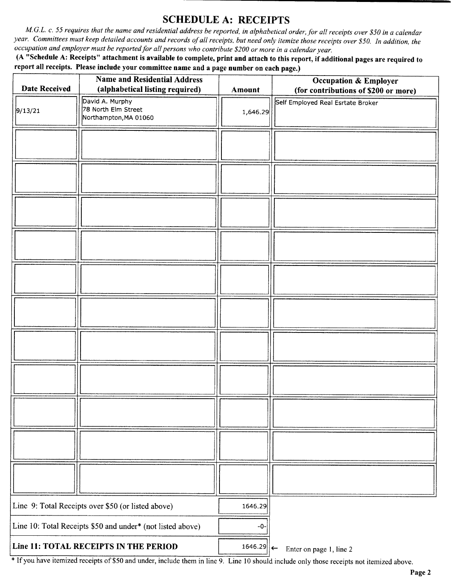## SCHEDULE A: RECEIPTS

M.G.L. c. 55 requires that the name and residential address be reported, in alphabetical order, for all receipts over \$50 in a calendar year. Committees must keep detailed accounts and records of all receipts, but need only itemize those receipts over \$50. In addition, the occupation and employer must be reported for all persons who contribute \$200 or more in a calendar year.

A " Schedule A: Receipts" attachment is available to complete, print and attach to this report, if additional pages are required to report all receipts. Please include your committee name and a page number on each page.)

|                                                            | <b>Name and Residential Address</b>                             |               | <b>Occupation &amp; Employer</b>     |
|------------------------------------------------------------|-----------------------------------------------------------------|---------------|--------------------------------------|
| <b>Date Received</b>                                       | (alphabetical listing required)                                 | <b>Amount</b> | (for contributions of \$200 or more) |
| 9/13/21                                                    | David A. Murphy<br>78 North Elm Street<br>Northampton, MA 01060 | 1,646.29      | Self Employed Real Esrtate Broker    |
|                                                            |                                                                 |               |                                      |
|                                                            |                                                                 |               |                                      |
|                                                            |                                                                 |               |                                      |
|                                                            |                                                                 |               |                                      |
|                                                            |                                                                 |               |                                      |
|                                                            |                                                                 |               |                                      |
|                                                            |                                                                 |               |                                      |
|                                                            |                                                                 |               |                                      |
|                                                            |                                                                 |               |                                      |
|                                                            |                                                                 |               |                                      |
|                                                            |                                                                 |               |                                      |
| Line 9: Total Receipts over \$50 (or listed above)         |                                                                 | 1646.29       |                                      |
| Line 10: Total Receipts \$50 and under* (not listed above) |                                                                 | $-0-$         |                                      |
| Line 11: TOTAL RECEIPTS IN THE PERIOD                      |                                                                 | $1646.29$ ←   | Enter on page 1, line 2              |

If you have itemized receipts of\$ <sup>50</sup> and under, include them in line 9. Line <sup>10</sup> should include only those receipts not itemized above.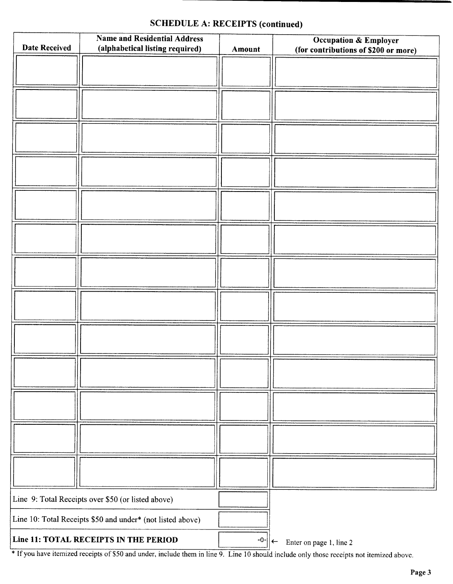### SCHEDULE A: RECEIPTS (continued)

| <b>Date Received</b> | <b>Name and Residential Address</b><br>(alphabetical listing required) | Amount | <b>Occupation &amp; Employer</b><br>(for contributions of \$200 or more) |
|----------------------|------------------------------------------------------------------------|--------|--------------------------------------------------------------------------|
|                      |                                                                        |        |                                                                          |
|                      |                                                                        |        |                                                                          |
|                      |                                                                        |        |                                                                          |
|                      |                                                                        |        |                                                                          |
|                      |                                                                        |        |                                                                          |
|                      |                                                                        |        |                                                                          |
|                      |                                                                        |        |                                                                          |
|                      |                                                                        |        |                                                                          |
|                      |                                                                        |        |                                                                          |
|                      |                                                                        |        |                                                                          |
|                      |                                                                        |        |                                                                          |
|                      |                                                                        |        |                                                                          |
|                      |                                                                        |        |                                                                          |
|                      | Line 9: Total Receipts over \$50 (or listed above)                     |        |                                                                          |
|                      | Line 10: Total Receipts \$50 and under* (not listed above)             |        |                                                                          |
|                      | Line 11: TOTAL RECEIPTS IN THE PERIOD                                  | $-0-$  | Enter on page 1, line 2<br>$\leftarrow$                                  |

<sup>1</sup> If you have itemized receipts of \$50 and under, include them in line 9. Line 10 should include only those receipts not itemized above.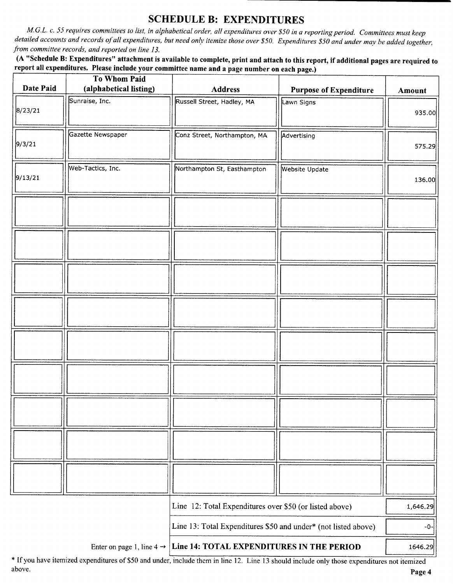### SCHEDULE B: EXPENDITURES

M.G.L. c. 55 requires committees to list, in alphabetical order, all expenditures over\$ 50 in a reporting period. Committees must keep detailed accounts and records of all expenditures, but need only itemize those over \$50. Expenditures \$50 and under may be added together, from committee records, and reported on line 13.

A " Schedule B: Expenditures" attachment is available to complete, print and attach to this report, if additional pages are required to report all expenditures. Please include your committee name and a page number on each page.)

|           | <b>To Whom Paid</b>    |                                                                                 |                               |          |
|-----------|------------------------|---------------------------------------------------------------------------------|-------------------------------|----------|
| Date Paid | (alphabetical listing) | <b>Address</b>                                                                  | <b>Purpose of Expenditure</b> | Amount   |
| 8/23/21   | Sunraise, Inc.         | Russell Street, Hadley, MA                                                      | Lawn Signs                    | 935.00   |
|           |                        |                                                                                 |                               |          |
| 9/3/21    | Gazette Newspaper      | Conz Street, Northampton, MA                                                    | Advertising                   | 575.29   |
|           | Web-Tactics, Inc.      | Northampton St, Easthampton                                                     | Website Update                |          |
| 9/13/21   |                        |                                                                                 |                               | 136.00   |
|           |                        |                                                                                 |                               |          |
|           |                        |                                                                                 |                               |          |
|           |                        |                                                                                 |                               |          |
|           |                        |                                                                                 |                               |          |
|           |                        |                                                                                 |                               |          |
|           |                        |                                                                                 |                               |          |
|           |                        |                                                                                 |                               |          |
|           |                        |                                                                                 |                               |          |
|           |                        |                                                                                 |                               |          |
|           |                        |                                                                                 |                               |          |
|           |                        |                                                                                 |                               |          |
|           |                        |                                                                                 |                               |          |
|           |                        |                                                                                 |                               |          |
|           |                        |                                                                                 |                               |          |
|           |                        | Line 12: Total Expenditures over \$50 (or listed above)                         |                               | 1,646.29 |
|           |                        | Line 13: Total Expenditures \$50 and under* (not listed above)                  | $-0-$                         |          |
|           |                        | Enter on page 1, line $4 \rightarrow$ Line 14: TOTAL EXPENDITURES IN THE PERIOD |                               | 1646.29  |

\* If you have itemized expenditures of \$50 and under, include them in line 12. Line 13 should include only those expenditures not itemized above. above. Page 4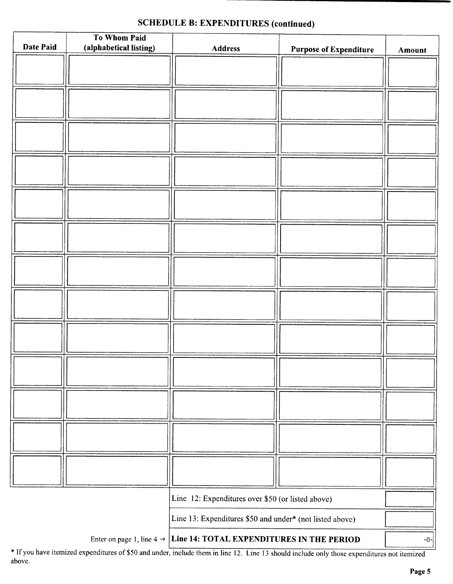# SCHEDULE B: EXPENDITURES (continued)

| Date Paid                                                                       | To Whom Paid<br>(alphabetical listing) | <b>Address</b>                                           |                               |             |
|---------------------------------------------------------------------------------|----------------------------------------|----------------------------------------------------------|-------------------------------|-------------|
|                                                                                 |                                        |                                                          | <b>Purpose of Expenditure</b> | Amount      |
|                                                                                 |                                        |                                                          |                               |             |
|                                                                                 |                                        |                                                          |                               |             |
|                                                                                 |                                        |                                                          |                               |             |
|                                                                                 |                                        |                                                          |                               |             |
|                                                                                 |                                        |                                                          |                               |             |
|                                                                                 |                                        |                                                          |                               |             |
|                                                                                 |                                        |                                                          |                               |             |
|                                                                                 |                                        |                                                          |                               |             |
|                                                                                 |                                        |                                                          |                               |             |
|                                                                                 |                                        |                                                          |                               |             |
|                                                                                 |                                        |                                                          |                               |             |
|                                                                                 |                                        |                                                          |                               |             |
|                                                                                 |                                        |                                                          |                               |             |
|                                                                                 |                                        |                                                          |                               |             |
|                                                                                 |                                        |                                                          |                               |             |
|                                                                                 |                                        |                                                          |                               |             |
|                                                                                 |                                        |                                                          |                               |             |
|                                                                                 |                                        |                                                          |                               |             |
|                                                                                 |                                        |                                                          |                               |             |
|                                                                                 |                                        |                                                          |                               |             |
|                                                                                 |                                        |                                                          |                               |             |
|                                                                                 |                                        |                                                          |                               |             |
|                                                                                 |                                        |                                                          |                               |             |
|                                                                                 |                                        |                                                          |                               |             |
|                                                                                 |                                        |                                                          |                               |             |
|                                                                                 |                                        |                                                          |                               |             |
|                                                                                 |                                        |                                                          |                               |             |
|                                                                                 |                                        |                                                          |                               |             |
|                                                                                 |                                        |                                                          |                               |             |
|                                                                                 |                                        |                                                          |                               |             |
| Line 12: Expenditures over \$50 (or listed above)                               |                                        |                                                          |                               |             |
|                                                                                 |                                        | Line 13: Expenditures \$50 and under* (not listed above) |                               |             |
| Enter on page 1, line $4 \rightarrow$ Line 14: TOTAL EXPENDITURES IN THE PERIOD |                                        |                                                          |                               | $-0$ - $  $ |

If you have itemized expenditures of\$50 and under, include them in line 12. Line <sup>13</sup> should include only those expenditures not itemized above.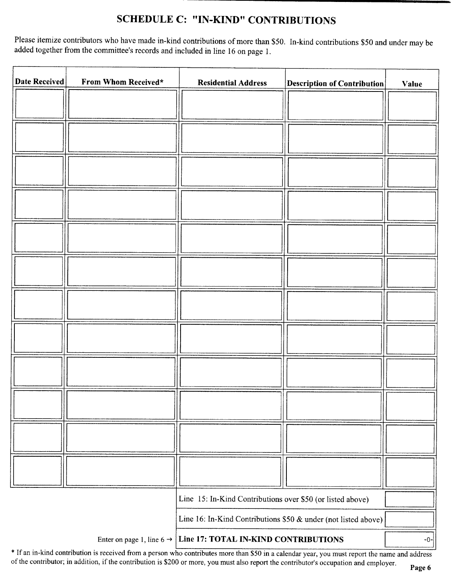# SCHEDULE C: "IN-KIND" CONTRIBUTIONS

Please itemize contributors who have made in-kind contributions of more than \$50. In-kind contributions \$50 and under may be added together from the committee's records and included in line 16 on page 1.

| Date Received | From Whom Received*                   | <b>Residential Address</b>                                     | <b>Description of Contribution</b> | Value |
|---------------|---------------------------------------|----------------------------------------------------------------|------------------------------------|-------|
|               |                                       |                                                                |                                    |       |
|               |                                       |                                                                |                                    |       |
|               |                                       |                                                                |                                    |       |
|               |                                       |                                                                |                                    |       |
|               |                                       |                                                                |                                    |       |
|               |                                       |                                                                |                                    |       |
|               |                                       |                                                                |                                    |       |
|               |                                       |                                                                |                                    |       |
|               |                                       |                                                                |                                    |       |
|               |                                       |                                                                |                                    |       |
|               |                                       |                                                                |                                    |       |
|               |                                       |                                                                |                                    |       |
|               |                                       |                                                                |                                    |       |
|               |                                       |                                                                |                                    |       |
|               |                                       |                                                                |                                    |       |
|               |                                       |                                                                |                                    |       |
|               |                                       |                                                                |                                    |       |
|               |                                       |                                                                |                                    |       |
|               |                                       |                                                                |                                    |       |
|               |                                       |                                                                |                                    |       |
|               |                                       | Line 15: In-Kind Contributions over \$50 (or listed above)     |                                    |       |
|               |                                       | Line 16: In-Kind Contributions \$50 & under (not listed above) |                                    |       |
|               | Enter on page 1, line 6 $\rightarrow$ | Line 17: TOTAL IN-KIND CONTRIBUTIONS                           |                                    | $-0-$ |

\* If an in-kind contribution is received from a person who contributes more than \$50 in a calendar year, you must report the name and address of the contributor; in addition, if the contribution is \$200 or more, you must also report the contributor's occupation and employer.